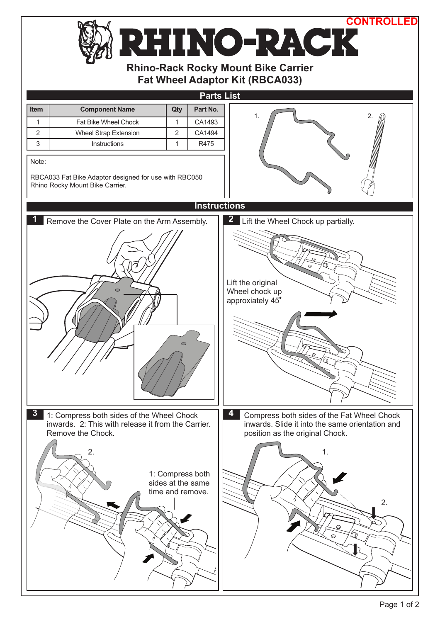